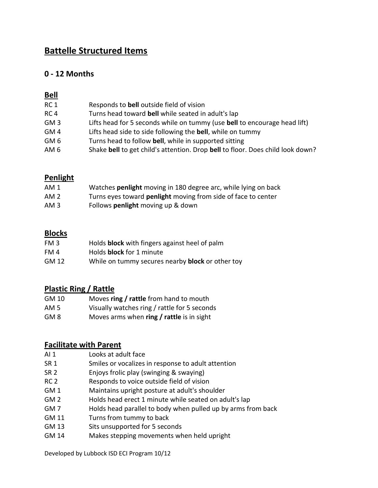## **Battelle Structured Items**

## **0 - 12 Months**

### **Bell**

| RC <sub>1</sub> | Responds to <b>bell</b> outside field of vision                                  |
|-----------------|----------------------------------------------------------------------------------|
| RC4             | Turns head toward bell while seated in adult's lap                               |
| GM <sub>3</sub> | Lifts head for 5 seconds while on tummy (use <b>bell</b> to encourage head lift) |
| GM <sub>4</sub> | Lifts head side to side following the <b>bell</b> , while on tummy               |
| GM 6            | Turns head to follow bell, while in supported sitting                            |
| AM <sub>6</sub> | Shake bell to get child's attention. Drop bell to floor. Does child look down?   |

### **Penlight**

| AM 1 | Watches <b>penlight</b> moving in 180 degree arc, while lying on back |
|------|-----------------------------------------------------------------------|
| AM 2 | Turns eyes toward <b>penlight</b> moving from side of face to center  |
| AM 3 | Follows <b>penlight</b> moving up & down                              |

#### **Blocks**

| FM 3  | Holds block with fingers against heel of palm           |
|-------|---------------------------------------------------------|
| FM 4  | Holds block for 1 minute                                |
| GM 12 | While on tummy secures nearby <b>block</b> or other toy |

## **Plastic Ring / Rattle**

| GM 10 |  | Moves ring / rattle from hand to mouth |
|-------|--|----------------------------------------|
|       |  |                                        |

- AM 5 Visually watches ring / rattle for 5 seconds
- GM 8 Moves arms when **ring / rattle** is in sight

### **Facilitate with Parent**

- AI 1 Looks at adult face
- SR 1 Smiles or vocalizes in response to adult attention
- SR 2 Enjoys frolic play (swinging & swaying)
- RC 2 Responds to voice outside field of vision
- GM 1 Maintains upright posture at adult's shoulder
- GM 2 Holds head erect 1 minute while seated on adult's lap
- GM 7 Holds head parallel to body when pulled up by arms from back
- GM 11 Turns from tummy to back
- GM 13 Sits unsupported for 5 seconds
- GM 14 Makes stepping movements when held upright

Developed by Lubbock ISD ECI Program 10/12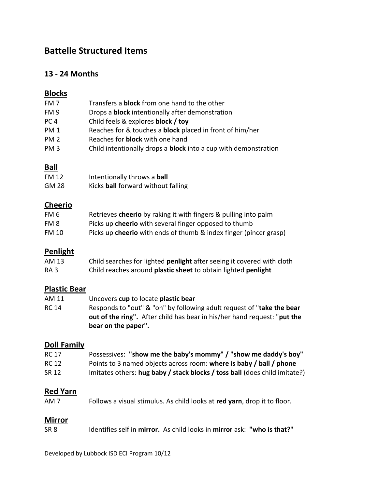# **Battelle Structured Items**

## **13 - 24 Months**

## **Blocks**

| FM 7            | Transfers a <b>block</b> from one hand to the other                    |
|-----------------|------------------------------------------------------------------------|
| FM <sub>9</sub> | Drops a <b>block</b> intentionally after demonstration                 |
| PC <sub>4</sub> | Child feels & explores block / toy                                     |
| <b>PM1</b>      | Reaches for & touches a <b>block</b> placed in front of him/her        |
| <b>PM 2</b>     | Reaches for <b>block</b> with one hand                                 |
| PM <sub>3</sub> | Child intentionally drops a <b>block</b> into a cup with demonstration |
|                 |                                                                        |

## **Ball**

| FM 12 | Intentionally throws a ball        |
|-------|------------------------------------|
| GM 28 | Kicks ball forward without falling |

## **Cheerio**

| FM 6  | Retrieves cheerio by raking it with fingers & pulling into palm          |
|-------|--------------------------------------------------------------------------|
| FM 8  | Picks up cheerio with several finger opposed to thumb                    |
| FM 10 | Picks up <b>cheerio</b> with ends of thumb & index finger (pincer grasp) |

## **Penlight**

| AM 13 | Child searches for lighted penlight after seeing it covered with cloth |
|-------|------------------------------------------------------------------------|
| RA 3  | Child reaches around plastic sheet to obtain lighted penlight          |

## **Plastic Bear**

| AM 11 | Uncovers cup to locate plastic bear                                             |
|-------|---------------------------------------------------------------------------------|
| RC 14 | Responds to "out" & "on" by following adult request of "take the bear           |
|       | <b>out of the ring".</b> After child has bear in his/her hand request: "put the |
|       | bear on the paper".                                                             |

## **Doll Family**

| <b>RC 17</b> | Possessives: "show me the baby's mommy" / "show me daddy's boy"            |
|--------------|----------------------------------------------------------------------------|
| RC 12        | Points to 3 named objects across room: where is baby / ball / phone        |
| SR 12        | Imitates others: hug baby / stack blocks / toss ball (does child imitate?) |

## **Red Yarn**

| AM 7 | Follows a visual stimulus. As child looks at red yarn, drop it to floor. |  |
|------|--------------------------------------------------------------------------|--|
|------|--------------------------------------------------------------------------|--|

### **Mirror**

| ldentifies self in mirror. As child looks in mirror ask: "who is that?"<br>SR <sub>8</sub> |  |
|--------------------------------------------------------------------------------------------|--|
|--------------------------------------------------------------------------------------------|--|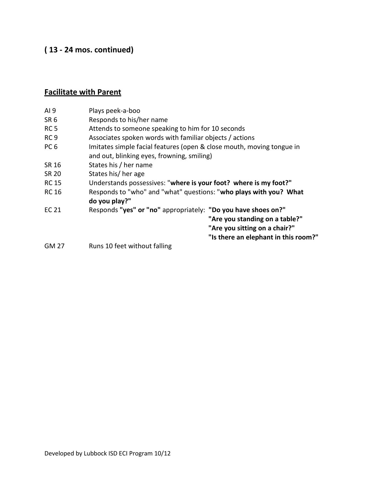# **( 13 - 24 mos. continued)**

# **Facilitate with Parent**

| AI <sub>9</sub> | Plays peek-a-boo                                                                                                                                                         |
|-----------------|--------------------------------------------------------------------------------------------------------------------------------------------------------------------------|
| SR <sub>6</sub> | Responds to his/her name                                                                                                                                                 |
| RC <sub>5</sub> | Attends to someone speaking to him for 10 seconds                                                                                                                        |
| RC <sub>9</sub> | Associates spoken words with familiar objects / actions                                                                                                                  |
| PC <sub>6</sub> | Imitates simple facial features (open & close mouth, moving tongue in<br>and out, blinking eyes, frowning, smiling)                                                      |
| SR 16           | States his / her name                                                                                                                                                    |
| <b>SR 20</b>    | States his/ her age                                                                                                                                                      |
| <b>RC 15</b>    | Understands possessives: "where is your foot? where is my foot?"                                                                                                         |
| <b>RC 16</b>    | Responds to "who" and "what" questions: "who plays with you? What<br>do you play?"                                                                                       |
| EC 21           | Responds "yes" or "no" appropriately: "Do you have shoes on?"<br>"Are you standing on a table?"<br>"Are you sitting on a chair?"<br>"Is there an elephant in this room?" |
| <b>GM 27</b>    | Runs 10 feet without falling                                                                                                                                             |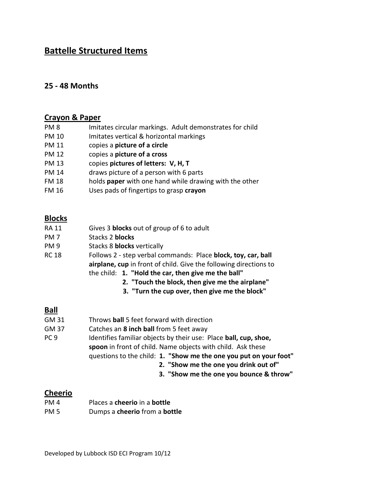## **Battelle Structured Items**

### **25 - 48 Months**

#### **Crayon & Paper**

| PM <sub>8</sub> | Imitates circular markings. Adult demonstrates for child |
|-----------------|----------------------------------------------------------|
| <b>PM 10</b>    | Imitates vertical & horizontal markings                  |
| PM 11           | copies a picture of a circle                             |
| PM 12           | copies a picture of a cross                              |
| PM 13           | copies pictures of letters: V, H, T                      |
| PM 14           | draws picture of a person with 6 parts                   |
| <b>FM 18</b>    | holds paper with one hand while drawing with the other   |
| <b>FM 16</b>    | Uses pads of fingertips to grasp crayon                  |

#### **Blocks**

- RA 11 Gives 3 **blocks** out of group of 6 to adult
- PM 7 Stacks 2 **blocks**
- PM 9 Stacks 8 **blocks** vertically
- RC 18 Follows 2 step verbal commands: Place **block, toy, car, ball airplane, cup** in front of child. Give the following directions to the child: **1. "Hold the car, then give me the ball"**
	- **2. "Touch the block, then give me the airplane"**
	- **3. "Turn the cup over, then give me the block"**

#### **Ball**

- GM 31 Throws **ball** 5 feet forward with direction
- GM 37 Catches an **8 inch ball** from 5 feet away
- PC 9 Identifies familiar objects by their use: Place **ball, cup, shoe, spoon** in front of child. Name objects with child. Ask these questions to the child: **1. "Show me the one you put on your foot"**
	- **2. "Show me the one you drink out of"**
	- **3. "Show me the one you bounce & throw"**

#### **Cheerio**

PM 4 Places a **cheerio** in a **bottle** PM 5 Dumps a **cheerio** from a **bottle**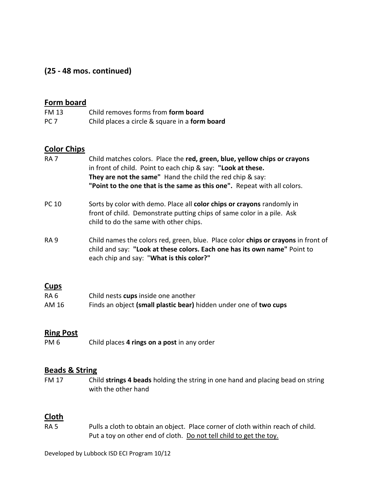## **(25 - 48 mos. continued)**

#### **Form board**

| FM 13           | Child removes forms from form board            |
|-----------------|------------------------------------------------|
| PC <sub>7</sub> | Child places a circle & square in a form board |

#### **Color Chips**

- RA 7 Child matches colors. Place the **red, green, blue, yellow chips or crayons** in front of child. Point to each chip & say: **"Look at these. They are not the same"** Hand the child the red chip & say: **"Point to the one that is the same as this one".** Repeat with all colors.
- PC 10 Sorts by color with demo. Place all **color chips or crayons** randomly in front of child. Demonstrate putting chips of same color in a pile. Ask child to do the same with other chips.
- RA 9 Child names the colors red, green, blue. Place color **chips or crayons** in front of child and say: **"Look at these colors. Each one has its own name"** Point to each chip and say: "**What is this color?"**

#### **Cups**

| RA 6  | Child nests cups inside one another                               |
|-------|-------------------------------------------------------------------|
| AM 16 | Finds an object (small plastic bear) hidden under one of two cups |

#### **Ring Post**

PM 6 Child places **4 rings on a post** in any order

#### **Beads & String**

FM 17 Child **strings 4 beads** holding the string in one hand and placing bead on string with the other hand

#### **Cloth**

RA 5 Pulls a cloth to obtain an object. Place corner of cloth within reach of child. Put a toy on other end of cloth. Do not tell child to get the toy.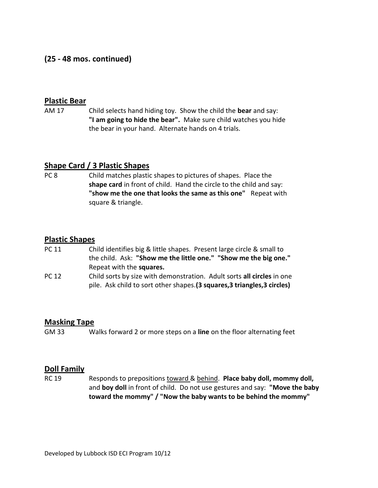## **(25 - 48 mos. continued)**

#### **Plastic Bear**

AM 17 Child selects hand hiding toy. Show the child the **bear** and say: **"I am going to hide the bear".** Make sure child watches you hide the bear in your hand. Alternate hands on 4 trials.

#### **Shape Card / 3 Plastic Shapes**

PC 8 Child matches plastic shapes to pictures of shapes. Place the **shape card** in front of child. Hand the circle to the child and say: **"show me the one that looks the same as this one"** Repeat with square & triangle.

#### **Plastic Shapes**

- PC 11 Child identifies big & little shapes. Present large circle & small to the child. Ask: **"Show me the little one." "Show me the big one."** Repeat with the **squares.**
- PC 12 Child sorts by size with demonstration. Adult sorts **all circles** in one pile. Ask child to sort other shapes.**(3 squares,3 triangles,3 circles)**

#### **Masking Tape**

GM 33 Walks forward 2 or more steps on a **line** on the floor alternating feet

#### **Doll Family**

RC 19 Responds to prepositions toward & behind. **Place baby doll, mommy doll,** and **boy doll** in front of child. Do not use gestures and say: **"Move the baby toward the mommy" / "Now the baby wants to be behind the mommy"**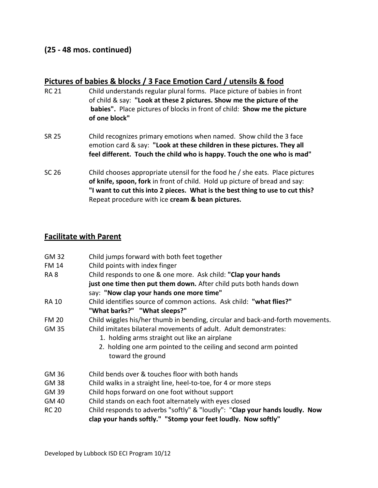#### **(25 - 48 mos. continued)**

#### **Pictures of babies & blocks / 3 Face Emotion Card / utensils & food**

- RC 21 Child understands regular plural forms. Place picture of babies in front of child & say: **"Look at these 2 pictures. Show me the picture of the babies".** Place pictures of blocks in front of child: **Show me the picture of one block"**
- SR 25 Child recognizes primary emotions when named. Show child the 3 face emotion card & say: **"Look at these children in these pictures. They all feel different. Touch the child who is happy. Touch the one who is mad"**
- SC 26 Child chooses appropriate utensil for the food he / she eats. Place pictures **of knife, spoon, fork** in front of child. Hold up picture of bread and say: **"I want to cut this into 2 pieces. What is the best thing to use to cut this?** Repeat procedure with ice **cream & bean pictures.**

#### **Facilitate with Parent**

| <b>GM 32</b>                    | Child jumps forward with both feet together                                    |
|---------------------------------|--------------------------------------------------------------------------------|
| <b>FM 14</b><br>RA <sub>8</sub> | Child points with index finger                                                 |
|                                 | Child responds to one & one more. Ask child: "Clap your hands                  |
|                                 | just one time then put them down. After child puts both hands down             |
|                                 | say: "Now clap your hands one more time"                                       |
| <b>RA 10</b>                    | Child identifies source of common actions. Ask child: "what flies?"            |
|                                 | "What barks?" "What sleeps?"                                                   |
| <b>FM 20</b>                    | Child wiggles his/her thumb in bending, circular and back-and-forth movements. |
| GM 35                           | Child imitates bilateral movements of adult. Adult demonstrates:               |
|                                 | 1. holding arms straight out like an airplane                                  |
|                                 | 2. holding one arm pointed to the ceiling and second arm pointed               |
|                                 | toward the ground                                                              |
| GM 36                           | Child bends over & touches floor with both hands                               |
| GM 38                           | Child walks in a straight line, heel-to-toe, for 4 or more steps               |
| GM 39                           | Child hops forward on one foot without support                                 |
| GM 40                           | Child stands on each foot alternately with eyes closed                         |
| <b>RC 20</b>                    | Child responds to adverbs "softly" & "loudly": "Clap your hands loudly. Now    |
|                                 | clap your hands softly." "Stomp your feet loudly. Now softly"                  |